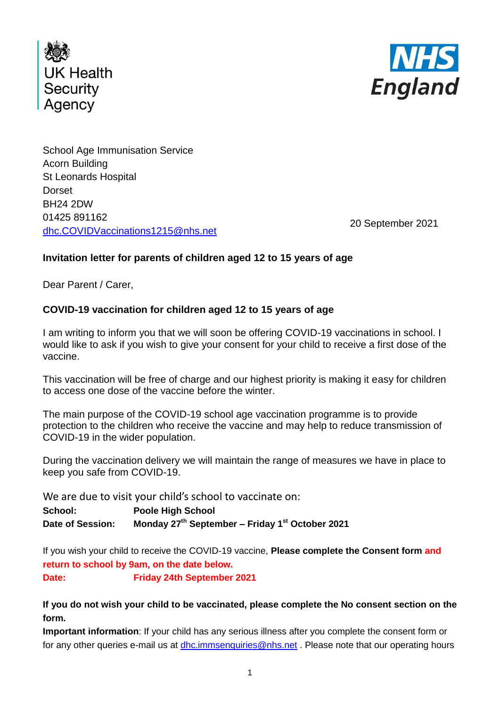



School Age Immunisation Service Acorn Building St Leonards Hospital **Dorset** BH24 2DW 01425 891162 [dhc.COVIDVaccinations1215@nhs.net](mailto:dhc.COVIDVaccinations1215@nhs.net)

20 September 2021

## **Invitation letter for parents of children aged 12 to 15 years of age**

Dear Parent / Carer,

## **COVID-19 vaccination for children aged 12 to 15 years of age**

I am writing to inform you that we will soon be offering COVID-19 vaccinations in school. I would like to ask if you wish to give your consent for your child to receive a first dose of the vaccine.

This vaccination will be free of charge and our highest priority is making it easy for children to access one dose of the vaccine before the winter.

The main purpose of the COVID-19 school age vaccination programme is to provide protection to the children who receive the vaccine and may help to reduce transmission of COVID-19 in the wider population.

During the vaccination delivery we will maintain the range of measures we have in place to keep you safe from COVID-19.

We are due to visit your child's school to vaccinate on:

**School: Poole High School Date of Session: Monday 27th September – Friday 1st October 2021**

If you wish your child to receive the COVID-19 vaccine, **Please complete the Consent form and return to school by 9am, on the date below.**

**Date: Friday 24th September 2021**

## **If you do not wish your child to be vaccinated, please complete the No consent section on the form.**

**Important information**: If your child has any serious illness after you complete the consent form or for any other queries e-mail us at [dhc.immsenquiries@nhs.net](mailto:dhc.immsenquiries@nhs.net). Please note that our operating hours